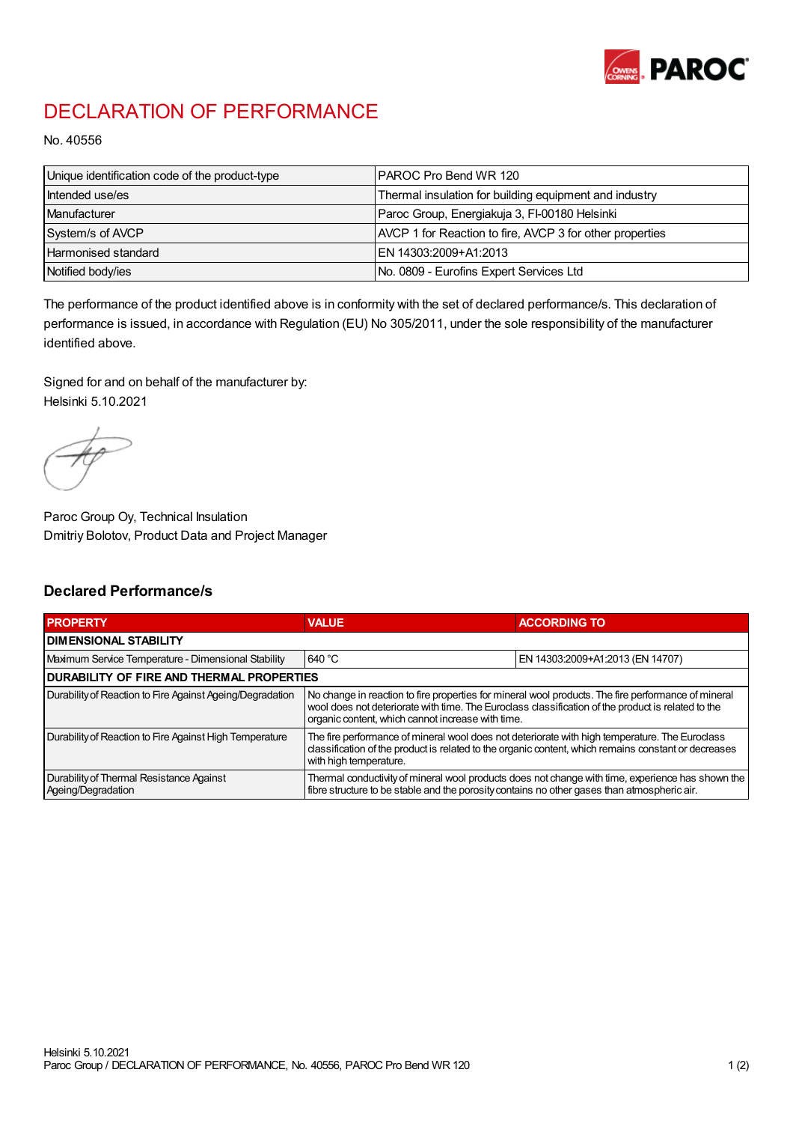

## DECLARATION OF PERFORMANCE

No. 40556

| Unique identification code of the product-type | IPAROC Pro Bend WR 120                                   |
|------------------------------------------------|----------------------------------------------------------|
| Intended use/es                                | Thermal insulation for building equipment and industry   |
| Manufacturer                                   | Paroc Group, Energiakuja 3, FI-00180 Helsinki            |
| System/s of AVCP                               | AVCP 1 for Reaction to fire, AVCP 3 for other properties |
| Harmonised standard                            | IEN 14303:2009+A1:2013                                   |
| Notified body/ies                              | No. 0809 - Eurofins Expert Services Ltd                  |

The performance of the product identified above is in conformity with the set of declared performance/s. This declaration of performance is issued, in accordance with Regulation (EU) No 305/2011, under the sole responsibility of the manufacturer identified above.

Signed for and on behalf of the manufacturer by: Helsinki 5.10.2021

Paroc Group Oy, Technical Insulation Dmitriy Bolotov, Product Data and Project Manager

## Declared Performance/s

| <b>PROPERTY</b>                                                | <b>VALUE</b>                                                                                                                                                                                                                                                   | <b>ACCORDING TO.</b>             |  |
|----------------------------------------------------------------|----------------------------------------------------------------------------------------------------------------------------------------------------------------------------------------------------------------------------------------------------------------|----------------------------------|--|
| <b>DIMENSIONAL STABILITY</b>                                   |                                                                                                                                                                                                                                                                |                                  |  |
| Maximum Service Temperature - Dimensional Stability            | 640 °C                                                                                                                                                                                                                                                         | EN 14303:2009+A1:2013 (EN 14707) |  |
| <b>DURABILITY OF FIRE AND THERMAL PROPERTIES</b>               |                                                                                                                                                                                                                                                                |                                  |  |
| Durability of Reaction to Fire Against Ageing/Degradation      | No change in reaction to fire properties for mineral wool products. The fire performance of mineral<br>wool does not deteriorate with time. The Euroclass classification of the product is related to the<br>organic content, which cannot increase with time. |                                  |  |
| Durability of Reaction to Fire Against High Temperature        | The fire performance of mineral wool does not deteriorate with high temperature. The Euroclass<br>classification of the product is related to the organic content, which remains constant or decreases<br>with high temperature.                               |                                  |  |
| Durability of Thermal Resistance Against<br>Ageing/Degradation | Thermal conductivity of mineral wool products does not change with time, experience has shown the<br>fibre structure to be stable and the porosity contains no other gases than atmospheric air.                                                               |                                  |  |